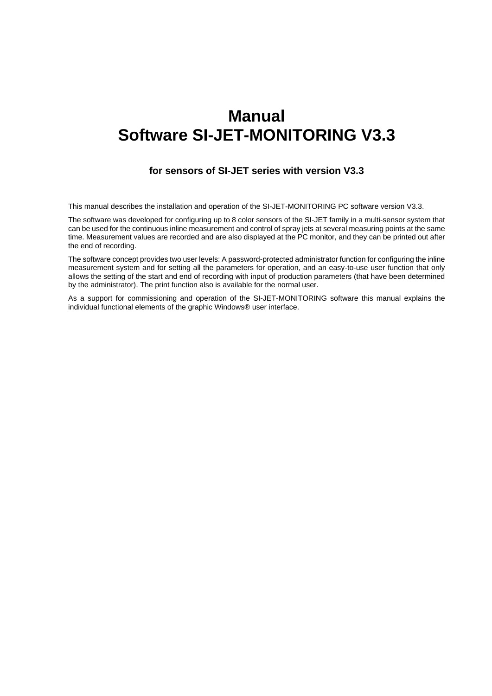# **Manual Software SI-JET-MONITORING V3.3**

## **for sensors of SI-JET series with version V3.3**

This manual describes the installation and operation of the SI-JET-MONITORING PC software version V3.3.

The software was developed for configuring up to 8 color sensors of the SI-JET family in a multi-sensor system that can be used for the continuous inline measurement and control of spray jets at several measuring points at the same time. Measurement values are recorded and are also displayed at the PC monitor, and they can be printed out after the end of recording.

The software concept provides two user levels: A password-protected administrator function for configuring the inline measurement system and for setting all the parameters for operation, and an easy-to-use user function that only allows the setting of the start and end of recording with input of production parameters (that have been determined by the administrator). The print function also is available for the normal user.

As a support for commissioning and operation of the SI-JET-MONITORING software this manual explains the individual functional elements of the graphic Windows® user interface.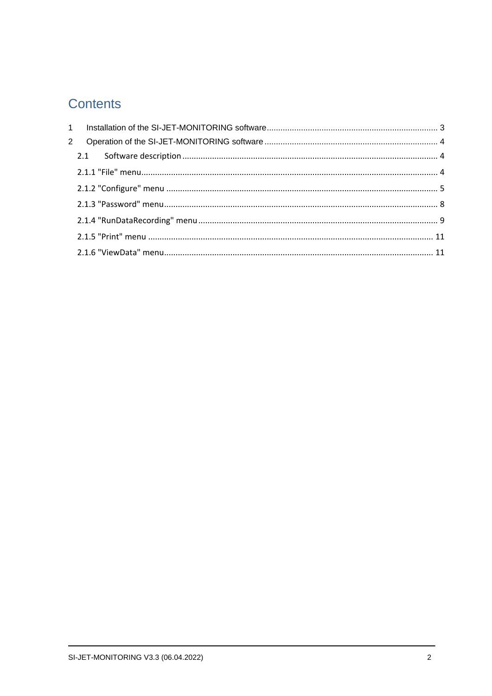# **Contents**

| 2 |  |
|---|--|
|   |  |
|   |  |
|   |  |
|   |  |
|   |  |
|   |  |
|   |  |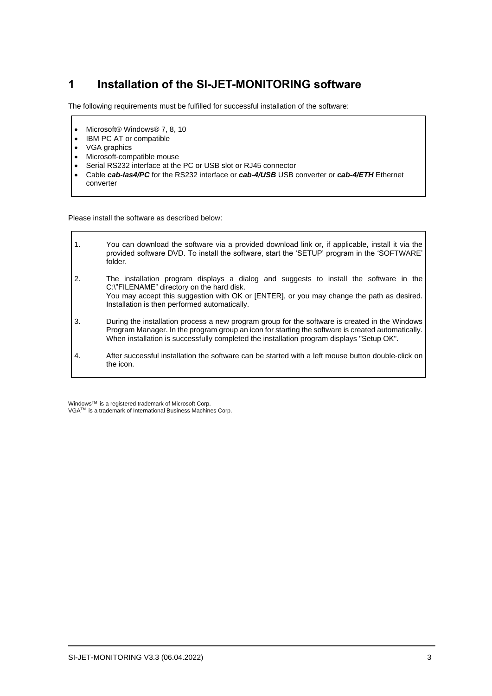## <span id="page-2-0"></span>**1 Installation of the SI-JET-MONITORING software**

The following requirements must be fulfilled for successful installation of the software:

- Microsoft® Windows® 7, 8, 10
- IBM PC AT or compatible
- VGA graphics

 $\overline{\phantom{a}}$ 

- Microsoft-compatible mouse
- Serial RS232 interface at the PC or USB slot or RJ45 connector
- Cable *cab-las4/PC* for the RS232 interface or *cab-4/USB* USB converter or *cab-4/ETH* Ethernet converter

Please install the software as described below:

| $\mathbf{1}$ . | You can download the software via a provided download link or, if applicable, install it via the<br>provided software DVD. To install the software, start the 'SETUP' program in the 'SOFTWARE'<br>folder.                                                                                       |
|----------------|--------------------------------------------------------------------------------------------------------------------------------------------------------------------------------------------------------------------------------------------------------------------------------------------------|
| 2.             | The installation program displays a dialog and suggests to install the software in the<br>C:\"FILENAME" directory on the hard disk.<br>You may accept this suggestion with OK or [ENTER], or you may change the path as desired.<br>Installation is then performed automatically.                |
| 3.             | During the installation process a new program group for the software is created in the Windows<br>Program Manager. In the program group an icon for starting the software is created automatically.<br>When installation is successfully completed the installation program displays "Setup OK". |
| 4.             | After successful installation the software can be started with a left mouse button double-click on<br>the icon.                                                                                                                                                                                  |

WindowsTM is a registered trademark of Microsoft Corp. VGATM is a trademark of International Business Machines Corp.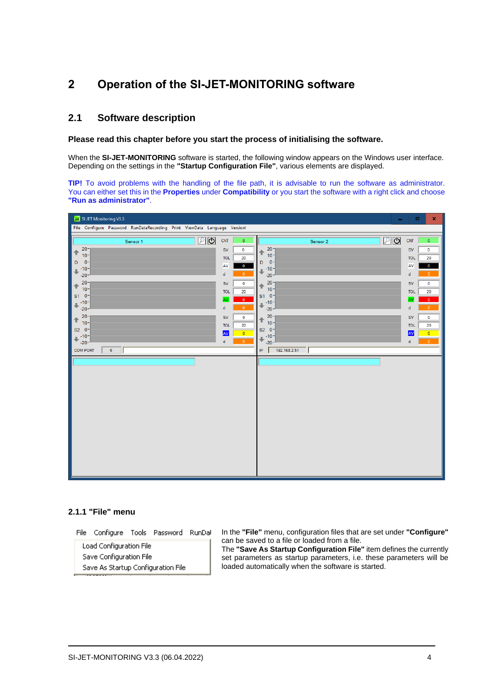## <span id="page-3-0"></span>**2 Operation of the SI-JET-MONITORING software**

## <span id="page-3-1"></span>**2.1 Software description**

#### **Please read this chapter before you start the process of initialising the software.**

When the **SI-JET-MONITORING** software is started, the following window appears on the Windows user interface. Depending on the settings in the **"Startup Configuration File"**, various elements are displayed.

**TIP!** To avoid problems with the handling of the file path, it is advisable to run the software as administrator. You can either set this in the **Properties** under **Compatibility** or you start the software with a right click and choose **"Run as administrator"**.

| File Configure Password RunDataRecording Print ViewData Language Version!<br>回回<br>உ<br>CNT<br>CNT<br>$\bullet$<br>$\bullet$<br>Sensor 2<br>Sensor 1<br>20 <sup>1</sup><br>20 <sup>1</sup><br>$\mathbf 0$<br><b>SV</b><br>${\sf SV}$<br>$\mathbf 0$<br>↟<br>↟<br>$10 -$<br>$10 -$<br>20<br><b>TOL</b><br><b>TOL</b><br>20<br>D<br>$-0 -$<br>$0 -$<br>D |  |
|--------------------------------------------------------------------------------------------------------------------------------------------------------------------------------------------------------------------------------------------------------------------------------------------------------------------------------------------------------|--|
|                                                                                                                                                                                                                                                                                                                                                        |  |
|                                                                                                                                                                                                                                                                                                                                                        |  |
|                                                                                                                                                                                                                                                                                                                                                        |  |
| $\mathbf 0$                                                                                                                                                                                                                                                                                                                                            |  |
| AV<br>AV<br>$\bf{0}$<br>$-10-$<br>$-10-$<br>J<br>d<br>$\Omega$<br>d<br>$\Omega$<br>$-20-$<br>$-20 -$                                                                                                                                                                                                                                                   |  |
| $20 -$<br>20 <sup>1</sup><br><b>SV</b><br>SV<br>$\circ$<br>$\circ$                                                                                                                                                                                                                                                                                     |  |
| ↟<br>€<br>$10 -$<br>$10 -$<br>20<br><b>TOL</b><br><b>TOL</b><br>20                                                                                                                                                                                                                                                                                     |  |
| $S1$ 0-<br>$0 -$<br>S <sub>1</sub><br>$\bullet$<br>AV<br><b>AV</b><br>$\Omega$<br>$-10-$<br>$-10-$                                                                                                                                                                                                                                                     |  |
| ₩<br>J<br>$\circ$<br>d<br>$\mathbf d$<br>$\circ$<br>$-20-$<br>$-20-$                                                                                                                                                                                                                                                                                   |  |
| $20 -$<br>$20 -$<br><b>SV</b><br>${\sf SV}$<br>$\bullet$<br>$\circ$<br>个<br>⇑                                                                                                                                                                                                                                                                          |  |
| $10 -$<br>$10 -$<br><b>TOL</b><br>20<br><b>TOL</b><br>20<br>$S2 \ 0^-$<br>$S2$ $0$ -                                                                                                                                                                                                                                                                   |  |
| AV<br><b>AV</b><br>$\bullet$<br>$\bullet$<br>$-10-$<br>$-10-$<br>J<br>⇓<br>$\bullet$<br>ď<br>$\mathbf d$<br>$\circ$                                                                                                                                                                                                                                    |  |
| $-20-$<br>$-20 -$<br>192.168.2.51<br><b>COM PORT</b><br>6<br>$\ensuremath{\mathsf{IP}}$                                                                                                                                                                                                                                                                |  |
|                                                                                                                                                                                                                                                                                                                                                        |  |
|                                                                                                                                                                                                                                                                                                                                                        |  |
|                                                                                                                                                                                                                                                                                                                                                        |  |
|                                                                                                                                                                                                                                                                                                                                                        |  |
|                                                                                                                                                                                                                                                                                                                                                        |  |
|                                                                                                                                                                                                                                                                                                                                                        |  |
|                                                                                                                                                                                                                                                                                                                                                        |  |
|                                                                                                                                                                                                                                                                                                                                                        |  |
|                                                                                                                                                                                                                                                                                                                                                        |  |
|                                                                                                                                                                                                                                                                                                                                                        |  |
|                                                                                                                                                                                                                                                                                                                                                        |  |
|                                                                                                                                                                                                                                                                                                                                                        |  |
|                                                                                                                                                                                                                                                                                                                                                        |  |

## <span id="page-3-2"></span>**2.1.1 "File" menu**

File Configure Tools Password RunDal

Load Configuration File Save Configuration File Save As Startup Configuration File In the **"File"** menu, configuration files that are set under **"Configure"** can be saved to a file or loaded from a file.

The **"Save As Startup Configuration File"** item defines the currently set parameters as startup parameters, i.e. these parameters will be loaded automatically when the software is started.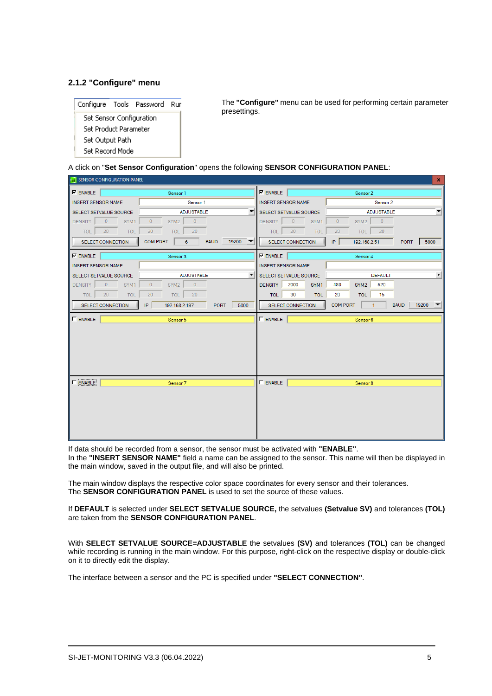## <span id="page-4-0"></span>**2.1.2 "Configure" menu**



The **"Configure"** menu can be used for performing certain parameter presettings.

A click on "**Set Sensor Configuration**" opens the following **SENSOR CONFIGURATION PANEL**:

| <b>E2</b> SENSOR CONFIGURATION PANEL<br>$\mathbf x$ |                                                                          |                                |                                                                             |
|-----------------------------------------------------|--------------------------------------------------------------------------|--------------------------------|-----------------------------------------------------------------------------|
| $\nabla$ ENABLE                                     | Sensor 1                                                                 | $\nabla$ ENABLE                | Sensor 2                                                                    |
| <b>INSERT SENSOR NAME</b><br>Sensor 1               |                                                                          | <b>INSERT SENSOR NAME</b>      | Sensor 2                                                                    |
| SELECT SETVALUE SOURCE                              | $\overline{\phantom{a}}$<br><b>ADJUSTABLE</b>                            | SELECT SETVALUE SOURCE         | $\blacksquare$<br><b>ADJUSTABLE</b>                                         |
| DENSITY 0<br>SYM1                                   | $\overline{0}$<br>$\overline{\phantom{0}}$<br>SYM2                       | DENSITY 0<br>SYM1              | $\overline{0}$<br>$\overline{0}$<br>SYM2                                    |
| 20<br>TOL  <br><b>TOL</b>                           | 20<br>20<br><b>TOL</b>                                                   | 20<br><b>TOL</b><br><b>TOL</b> | 20<br>20<br><b>TOL</b>                                                      |
| <b>SELECT CONNECTION</b>                            | 19200<br><b>COM PORT</b><br>6<br><b>BAUD</b><br>$\overline{\phantom{a}}$ | <b>SELECT CONNECTION</b>       | P <br>5000<br>192.168.2.51<br><b>PORT</b>                                   |
| $\nabla$ ENABLE                                     | Sensor 3                                                                 | $\nabla$ ENABLE                | Sensor 4                                                                    |
| <b>INSERT SENSOR NAME</b>                           |                                                                          | <b>INSERT SENSOR NAME</b>      |                                                                             |
| SELECT SETVALUE SOURCE                              | $\overline{\phantom{a}}$<br><b>ADJUSTABLE</b>                            | SELECT SETVALUE SOURCE         | $\overline{\mathbf{v}}$<br><b>DEFAULT</b>                                   |
| $\sim$ 0<br><b>DENSITY</b><br>SYM1                  | $\mathbf{0}$<br>$\overline{0}$<br>SYM2                                   | 2000<br><b>DENSITY</b><br>SYM1 | 480<br>520<br>SYM <sub>2</sub>                                              |
| 20<br><b>TOL</b><br>TOL                             | 20<br>20<br>TOL                                                          | 30<br><b>TOL</b><br>TOL        | 20<br><b>TOL</b><br>15                                                      |
| <b>SELECT CONNECTION</b>                            | 5000<br>IP<br><b>PORT</b><br>192.168.2.197                               | <b>SELECT CONNECTION</b>       | <b>COM PORT</b><br>19200<br><b>BAUD</b><br>$-1$<br>$\overline{\phantom{a}}$ |
| $\Gamma$ ENABLE                                     | Sensor 5                                                                 | $\Gamma$ ENABLE                | Sensor 6                                                                    |
|                                                     |                                                                          |                                |                                                                             |
|                                                     |                                                                          |                                |                                                                             |
|                                                     |                                                                          |                                |                                                                             |
|                                                     |                                                                          |                                |                                                                             |
|                                                     |                                                                          |                                |                                                                             |
| $\Gamma$ ENABLE                                     | Sensor 7                                                                 | $\Gamma$ ENABLE                | Sensor 8                                                                    |
|                                                     |                                                                          |                                |                                                                             |
|                                                     |                                                                          |                                |                                                                             |
|                                                     |                                                                          |                                |                                                                             |
|                                                     |                                                                          |                                |                                                                             |
|                                                     |                                                                          |                                |                                                                             |
|                                                     |                                                                          |                                |                                                                             |

If data should be recorded from a sensor, the sensor must be activated with **"ENABLE"**. In the **"INSERT SENSOR NAME"** field a name can be assigned to the sensor. This name will then be displayed in the main window, saved in the output file, and will also be printed.

The main window displays the respective color space coordinates for every sensor and their tolerances. The **SENSOR CONFIGURATION PANEL** is used to set the source of these values.

If **DEFAULT** is selected under **SELECT SETVALUE SOURCE,** the setvalues **(Setvalue SV)** and tolerances **(TOL)**  are taken from the **SENSOR CONFIGURATION PANEL**.

With **SELECT SETVALUE SOURCE=ADJUSTABLE** the setvalues **(SV)** and tolerances **(TOL)** can be changed while recording is running in the main window. For this purpose, right-click on the respective display or double-click on it to directly edit the display.

The interface between a sensor and the PC is specified under **"SELECT CONNECTION"**.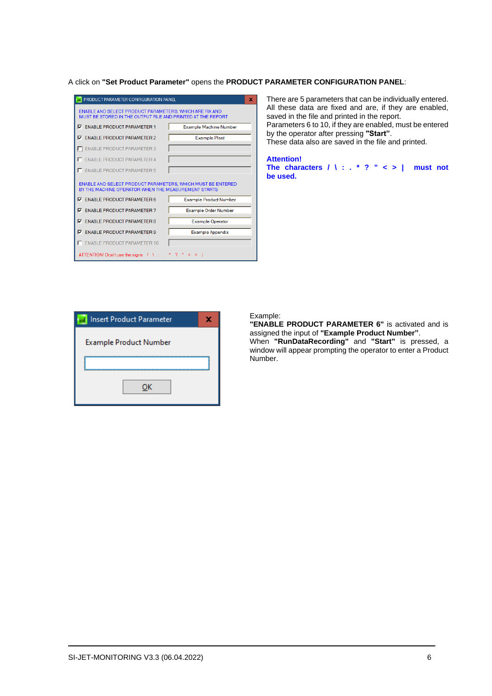A click on **"Set Product Parameter"** opens the **PRODUCT PARAMETER CONFIGURATION PANEL**:

| PRODUCT PARAMETER CONFIGURATION PANEL                                                                                  |                               |  |  |
|------------------------------------------------------------------------------------------------------------------------|-------------------------------|--|--|
| ENABLE AND SELECT PRODUCT PARAMETERS. WHICH ARE FIX AND<br>MUST BE STORED IN THE OUTPUT FILE AND PRINTED AT THE REPORT |                               |  |  |
| <b>V</b> ENABLE PRODUCT PARAMETER 1                                                                                    | <b>Example Machine Number</b> |  |  |
| <b>V ENABLE PRODUCT PARAMETER 2</b>                                                                                    | <b>Example Plant</b>          |  |  |
| E ENABLE PRODUCT PARAMETER 3                                                                                           |                               |  |  |
| <b>ENABLE PRODUCT PARAMETER 4</b><br>п                                                                                 |                               |  |  |
| <b>ENABLE PRODUCT PARAMETER 5</b>                                                                                      |                               |  |  |
| ENABLE AND SELECT PRODUCT PARAMETERS. WHICH MUST BE ENTERED<br>BY THE MACHINE OPERATOR WHEN THE MEASUREMENT STARTS     |                               |  |  |
| $\nabla$ ENABLE PRODUCT PARAMETER 6                                                                                    | <b>Example Product Number</b> |  |  |
| <b>V</b> ENABLE PRODUCT PARAMETER 7                                                                                    | <b>Example Order Number</b>   |  |  |
| <b>V</b> ENABLE PRODUCT PARAMETER 8                                                                                    | <b>Example Operator</b>       |  |  |
| <b>V</b> ENABLE PRODUCT PARAMETER 9                                                                                    | <b>Example Appendix</b>       |  |  |
|                                                                                                                        |                               |  |  |
| <b>ENABLE PRODUCT PARAMETER 10</b>                                                                                     |                               |  |  |

There are 5 parameters that can be individually entered. All these data are fixed and are, if they are enabled, saved in the file and printed in the report. Parameters 6 to 10, if they are enabled, must be entered by the operator after pressing **"Start"**.

These data also are saved in the file and printed.

#### **Attention! The characters / \ : . \* ? " < > | must not be used.**

| <b>Insert Product Parameter</b> |  |
|---------------------------------|--|
| <b>Example Product Number</b>   |  |
|                                 |  |
|                                 |  |
| OK                              |  |
|                                 |  |

#### Example:

Number.

**"ENABLE PRODUCT PARAMETER 6"** is activated and is assigned the input of **"Example Product Number"**. When **"RunDataRecording"** and **"Start"** is pressed, a window will appear prompting the operator to enter a Product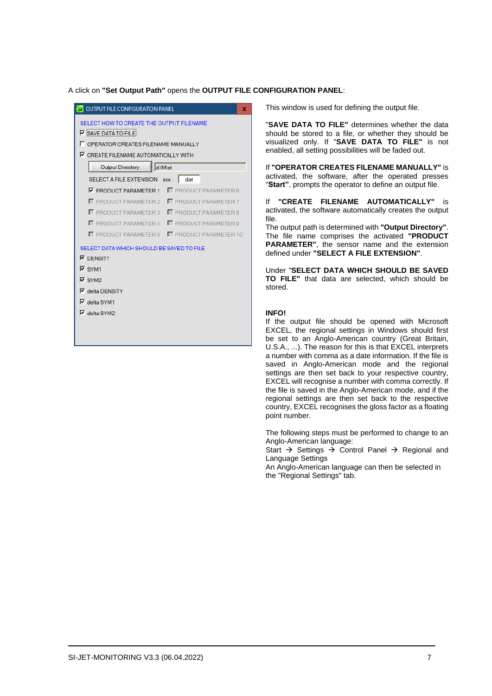#### A click on **"Set Output Path"** opens the **OUTPUT FILE CONFIGURATION PANEL**:

| <b>OUTPUT FILE CONFIGURATION PANEL</b>                                                                                                                                        |  |  |
|-------------------------------------------------------------------------------------------------------------------------------------------------------------------------------|--|--|
| SELECT HOW TO CREATE THE OUTPUT FILENAME<br>$\nabla$ SAVE DATA TO FILE<br><b>FOPERATOR CREATES FILENAME MANUALLY</b><br>$\nabla$ CREATE FILENAME AUTOMATICALLY WITH:          |  |  |
| <b>Output Directory</b><br>d:\Mist                                                                                                                                            |  |  |
| <b>SELECT A FILE EXTENSION</b><br>$\mathbf{XXX}$ .<br>dat                                                                                                                     |  |  |
| F PRODUCT PARAMETER 6<br><b>V PRODUCT PARAMETER 1</b>                                                                                                                         |  |  |
| PRODUCT PARAMETER 2 $\Box$ PRODUCT PARAMETER 7                                                                                                                                |  |  |
| <b>F</b> PRODUCT PARAMETER 3<br><b>F</b> PRODUCT PARAMETER 8                                                                                                                  |  |  |
| $\Box$ PRODUCT PARAMETER 4 $\Box$ PRODUCT PARAMETER 9                                                                                                                         |  |  |
| PRODUCT PARAMETER 5 <b>F</b> PRODUCT PARAMETER 10                                                                                                                             |  |  |
| SELECT DATA WHICH SHOULD BE SAVED TO FILE<br>$\nabla$ DENSITY<br>$\overline{V}$ SYM1<br>$\nabla$ SYM2<br><b>▽</b> delta DENSITY<br>$\nabla$ delta SYM1<br>$\nabla$ delta SYM2 |  |  |

This window is used for defining the output file.

"**SAVE DATA TO FILE"** determines whether the data should be stored to a file, or whether they should be visualized only. If "**SAVE DATA TO FILE"** is not enabled, all setting possibilities will be faded out.

If **"OPERATOR CREATES FILENAME MANUALLY"** is activated, the software, after the operated presses "**Start"**, prompts the operator to define an output file.

If **"CREATE FILENAME AUTOMATICALLY"** is activated, the software automatically creates the output file.

The output path is determined with **"Output Directory"**. The file name comprises the activated **"PRODUCT PARAMETER"**, the sensor name and the extension defined under **"SELECT A FILE EXTENSION"**.

Under "**SELECT DATA WHICH SHOULD BE SAVED TO FILE"** that data are selected, which should be stored.

#### **INFO!**

If the output file should be opened with Microsoft EXCEL, the regional settings in Windows should first be set to an Anglo-American country (Great Britain, U.S.A., ...). The reason for this is that EXCEL interprets a number with comma as a date information. If the file is saved in Anglo-American mode and the regional settings are then set back to your respective country, EXCEL will recognise a number with comma correctly. If the file is saved in the Anglo-American mode, and if the regional settings are then set back to the respective country, EXCEL recognises the gloss factor as a floating point number.

The following steps must be performed to change to an Anglo-American language:

Start  $\rightarrow$  Settings  $\rightarrow$  Control Panel  $\rightarrow$  Regional and Language Settings

An Anglo-American language can then be selected in the "Regional Settings" tab.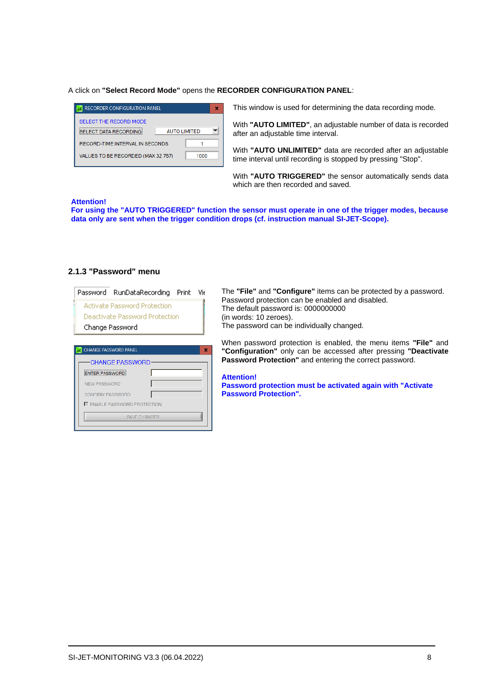#### A click on **"Select Record Mode"** opens the **RECORDER CONFIGURATION PANEL**:

| <b>RECORDER CONFIGURATION PANEL</b>                     |              |      |  |
|---------------------------------------------------------|--------------|------|--|
| SELECT THE RECORD MODE<br><b>SELECT DATA RECORDING:</b> | AUTO LIMITED |      |  |
| RECORD-TIME INTERVAL IN SECONDS                         |              |      |  |
| VALUES TO BE RECORDED (MAX 32 767)                      |              | 1000 |  |

This window is used for determining the data recording mode.

With **"AUTO LIMITED"**, an adjustable number of data is recorded after an adjustable time interval.

With **"AUTO UNLIMITED"** data are recorded after an adjustable time interval until recording is stopped by pressing "Stop".

With **"AUTO TRIGGERED"** the sensor automatically sends data which are then recorded and saved.

#### **Attention!**

**For using the "AUTO TRIGGERED" function the sensor must operate in one of the trigger modes, because data only are sent when the trigger condition drops (cf. instruction manual SI-JET-Scope).**

### <span id="page-7-0"></span>**2.1.3 "Password" menu**

| Password RunDataRecording Print Vie<br><b>Activate Password Protection</b><br>Deactivate Password Protection<br>Change Password | The "File" and "Configure" items can be protected by a password.<br>Password protection can be enabled and disabled.<br>The default password is: 0000000000<br>(in words: 10 zeroes).<br>The password can be individually changed. |  |
|---------------------------------------------------------------------------------------------------------------------------------|------------------------------------------------------------------------------------------------------------------------------------------------------------------------------------------------------------------------------------|--|
| CHANGE PASSWORD PANEL<br>$\mathbf x$<br><b>CHANGE PASSWORD</b>                                                                  | When password protection is enabled, the menu items "File" and<br>"Configuration" only can be accessed after pressing "Deactivate"<br><b>Password Protection"</b> and entering the correct password.                               |  |
| <b>ENTER PASSWORD</b><br><b>NEW PASSWORD</b><br><b>CONFIRM PASSWORD</b><br>ENABLE PASSWORD PROTECTION<br><b>SAVE CHANGES</b>    | <b>Attention!</b><br>Password protection must be activated again with "Activate"<br><b>Password Protection".</b>                                                                                                                   |  |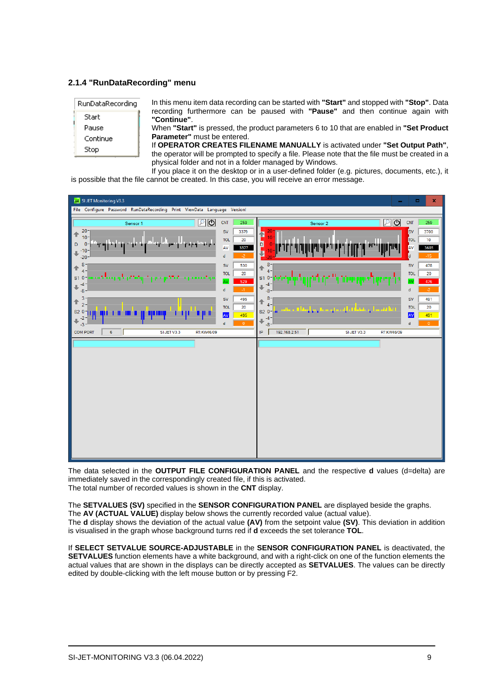## <span id="page-8-0"></span>**2.1.4 "RunDataRecording" menu**

| RunDataRecording | In this menu item data recording can be started with "Start" and stopped with "Stop". Data                                                                                     |
|------------------|--------------------------------------------------------------------------------------------------------------------------------------------------------------------------------|
| Start            | recording furthermore can be paused with "Pause" and then continue again with<br>"Continue".                                                                                   |
| Pause            | When "Start" is pressed, the product parameters 6 to 10 that are enabled in "Set Product"                                                                                      |
| Continue         | <b>Parameter</b> " must be entered.                                                                                                                                            |
| Stop.            | If OPERATOR CREATES FILENAME MANUALLY is activated under "Set Output Path",<br>the operator will be prompted to specify a file. Please note that the file must be created in a |

physical folder and not in a folder managed by Windows. If you place it on the desktop or in a user-defined folder (e.g. pictures, documents, etc.), it is possible that the file cannot be created. In this case, you will receive an error message.



The data selected in the **OUTPUT FILE CONFIGURATION PANEL** and the respective **d** values (d=delta) are immediately saved in the correspondingly created file, if this is activated. The total number of recorded values is shown in the **CNT** display.

The **SETVALUES (SV)** specified in the **SENSOR CONFIGURATION PANEL** are displayed beside the graphs. The **AV (ACTUAL VALUE)** display below shows the currently recorded value (actual value). The **d** display shows the deviation of the actual value **(AV)** from the setpoint value **(SV)**. This deviation in addition is visualised in the graph whose background turns red if **d** exceeds the set tolerance **TOL**.

If **SELECT SETVALUE SOURCE-ADJUSTABLE** in the **SENSOR CONFIGURATION PANEL** is deactivated, the **SETVALUES** function elements have a white background, and with a right-click on one of the function elements the actual values that are shown in the displays can be directly accepted as **SETVALUES**. The values can be directly edited by double-clicking with the left mouse button or by pressing F2.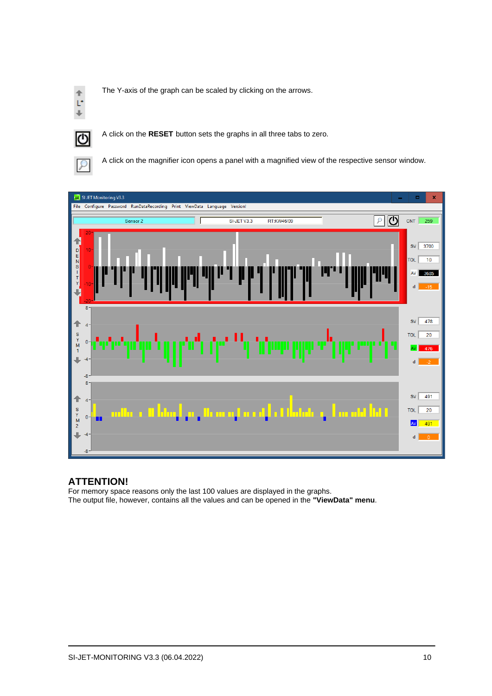

The Y-axis of the graph can be scaled by clicking on the arrows.



A click on the **RESET** button sets the graphs in all three tabs to zero.



A click on the magnifier icon opens a panel with a magnified view of the respective sensor window.



## **ATTENTION!**

For memory space reasons only the last 100 values are displayed in the graphs. The output file, however, contains all the values and can be opened in the **"ViewData" menu**.